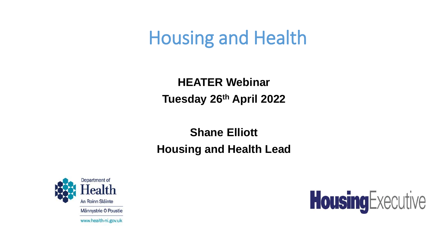# Housing and Health

**HEATER Webinar Tuesday 26th April 2022**

**Shane Elliott Housing and Health Lead**



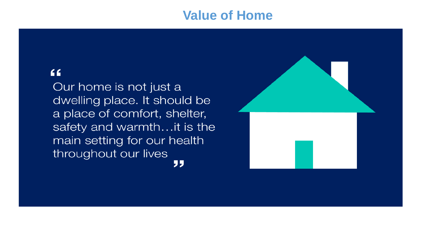#### **Value of Home**

#### "

Our home is not just a dwelling place. It should be a place of comfort, shelter, safety and warmth...it is the main setting for our health throughout our lives "

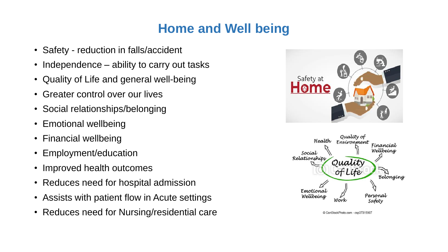### **Home and Well being**

- Safety reduction in falls/accident
- Independence ability to carry out tasks
- Quality of Life and general well-being
- Greater control over our lives
- Social relationships/belonging
- Emotional wellbeing
- Financial wellbeing
- Employment/education
- Improved health outcomes
- Reduces need for hospital admission
- Assists with patient flow in Acute settings
- Reduces need for Nursing/residential care





CanStockPhoto.com - csp37315907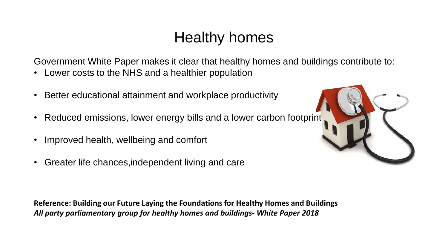## Healthy homes

Government White Paper makes it clear that healthy homes and buildings contribute to:

- Lower costs to the NHS and a healthier population
- Better educational attainment and workplace productivity
- Reduced emissions, lower energy bills and a lower carbon footprint
- Improved health, wellbeing and comfort
- Greater life chances,independent living and care

**Reference: Building our Future Laying the Foundations for Healthy Homes and Buildings** *All party parliamentary group for healthy homes and buildings- White Paper 2018*

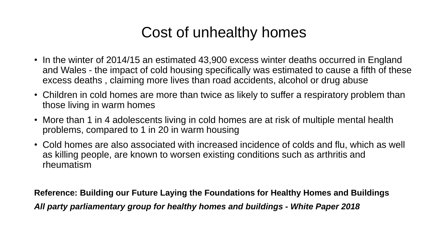## Cost of unhealthy homes

- In the winter of 2014/15 an estimated 43,900 excess winter deaths occurred in England and Wales - the impact of cold housing specifically was estimated to cause a fifth of these excess deaths , claiming more lives than road accidents, alcohol or drug abuse
- Children in cold homes are more than twice as likely to suffer a respiratory problem than those living in warm homes
- More than 1 in 4 adolescents living in cold homes are at risk of multiple mental health problems, compared to 1 in 20 in warm housing
- Cold homes are also associated with increased incidence of colds and flu, which as well as killing people, are known to worsen existing conditions such as arthritis and rheumatism

**Reference: Building our Future Laying the Foundations for Healthy Homes and Buildings** *All party parliamentary group for healthy homes and buildings - White Paper 2018*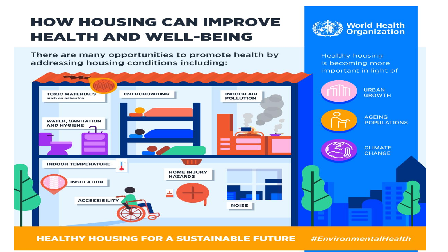### **HOW HOUSING CAN IMPROVE HEALTH AND WELL-BEING**

There are many opportunities to promote health by addressing housing conditions including:



**Healthy housing** is becoming more important in light of

**World Health**<br>Organization

**POPULATIONS** 



**HEALTHY HOUSING FOR A SUSTAINABLE FUTURE** 

#EnvironmentalHealth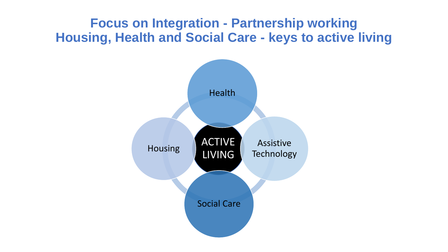### **Focus on Integration - Partnership working Housing, Health and Social Care - keys to active living**

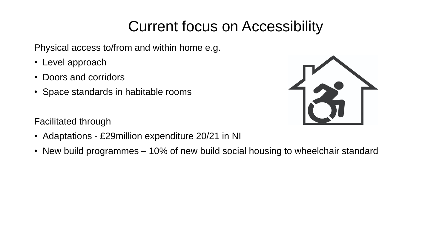## Current focus on Accessibility

Physical access to/from and within home e.g.

- Level approach
- Doors and corridors
- Space standards in habitable rooms



Facilitated through

- Adaptations £29million expenditure 20/21 in NI
- New build programmes 10% of new build social housing to wheelchair standard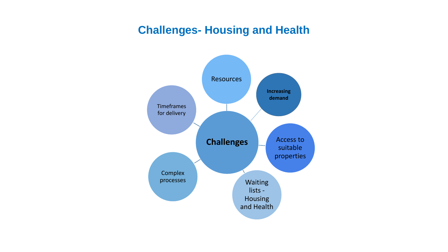#### **Challenges- Housing and Health**

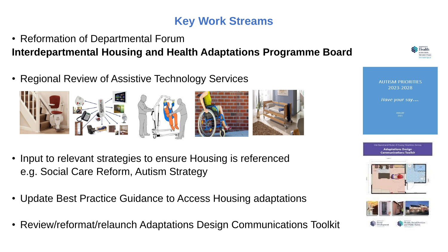#### **Key Work Streams**

- Reformation of Departmental Forum **Interdepartmental Housing and Health Adaptations Programme Board**
- Regional Review of Assistive Technology Services



- Input to relevant strategies to ensure Housing is referenced e.g. Social Care Reform, Autism Strategy
- Update Best Practice Guidance to Access Housing adaptations
- Review/reformat/relaunch Adaptations Design Communications Toolkit





**AUTISM PRIORITIES** 2023-2028

Have your say....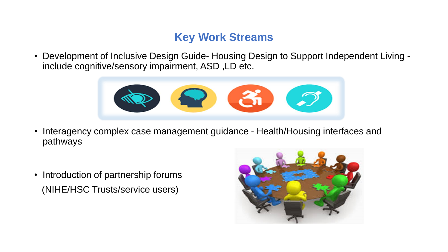#### **Key Work Streams**

• Development of Inclusive Design Guide- Housing Design to Support Independent Living include cognitive/sensory impairment, ASD ,LD etc.



- Interagency complex case management guidance Health/Housing interfaces and pathways
- Introduction of partnership forums (NIHE/HSC Trusts/service users)

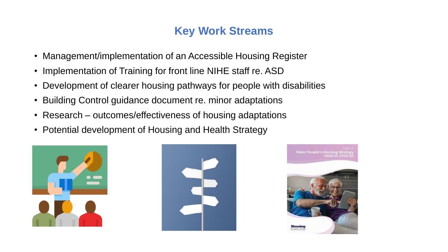#### **Key Work Streams**

- Management/implementation of an Accessible Housing Register
- Implementation of Training for front line NIHE staff re. ASD
- Development of clearer housing pathways for people with disabilities
- Building Control guidance document re. minor adaptations
- Research outcomes/effectiveness of housing adaptations
- Potential development of Housing and Health Strategy